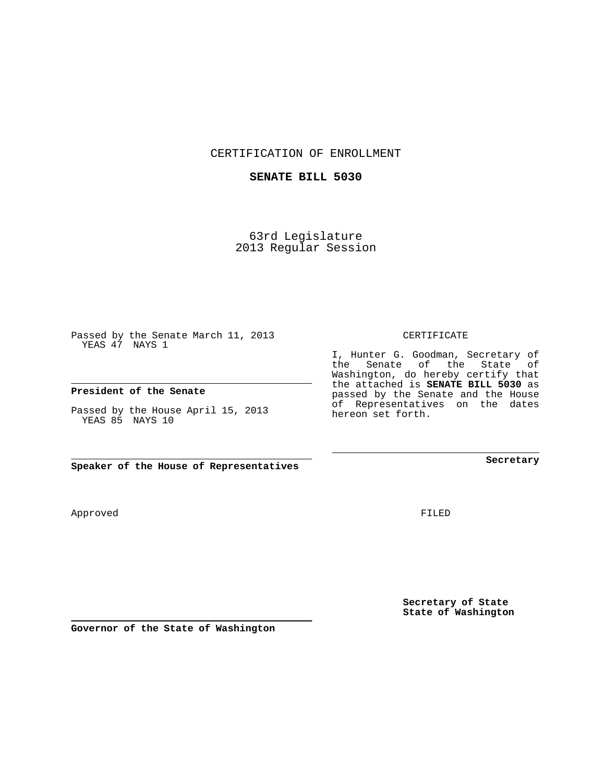CERTIFICATION OF ENROLLMENT

## **SENATE BILL 5030**

63rd Legislature 2013 Regular Session

Passed by the Senate March 11, 2013 YEAS 47 NAYS 1

**President of the Senate**

Passed by the House April 15, 2013 YEAS 85 NAYS 10

Approved

FILED

**Secretary of State State of Washington**

**Secretary**

CERTIFICATE

I, Hunter G. Goodman, Secretary of the Senate of the State of Washington, do hereby certify that the attached is **SENATE BILL 5030** as passed by the Senate and the House of Representatives on the dates hereon set forth.

**Speaker of the House of Representatives**

**Governor of the State of Washington**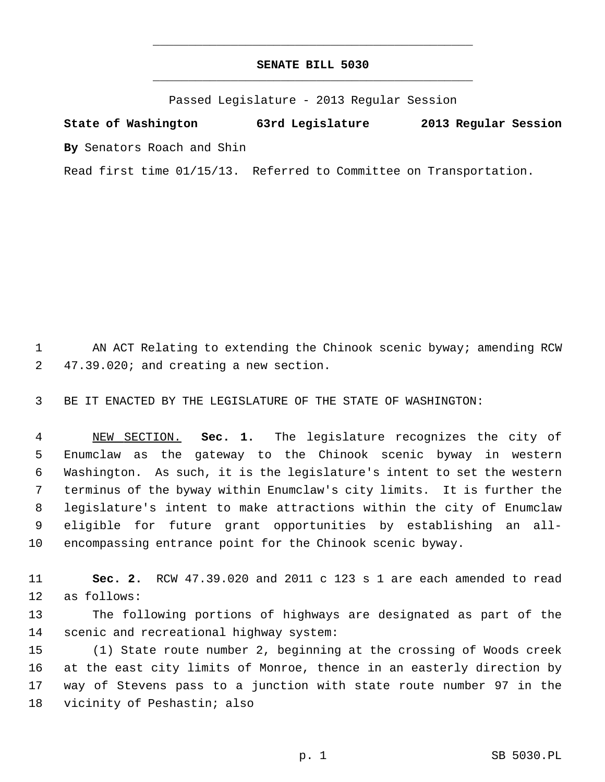## **SENATE BILL 5030** \_\_\_\_\_\_\_\_\_\_\_\_\_\_\_\_\_\_\_\_\_\_\_\_\_\_\_\_\_\_\_\_\_\_\_\_\_\_\_\_\_\_\_\_\_

\_\_\_\_\_\_\_\_\_\_\_\_\_\_\_\_\_\_\_\_\_\_\_\_\_\_\_\_\_\_\_\_\_\_\_\_\_\_\_\_\_\_\_\_\_

Passed Legislature - 2013 Regular Session

**State of Washington 63rd Legislature 2013 Regular Session By** Senators Roach and Shin

Read first time 01/15/13. Referred to Committee on Transportation.

 1 AN ACT Relating to extending the Chinook scenic byway; amending RCW 2 47.39.020; and creating a new section.

3 BE IT ENACTED BY THE LEGISLATURE OF THE STATE OF WASHINGTON:

 4 NEW SECTION. **Sec. 1.** The legislature recognizes the city of 5 Enumclaw as the gateway to the Chinook scenic byway in western 6 Washington. As such, it is the legislature's intent to set the western 7 terminus of the byway within Enumclaw's city limits. It is further the 8 legislature's intent to make attractions within the city of Enumclaw 9 eligible for future grant opportunities by establishing an all-10 encompassing entrance point for the Chinook scenic byway.

11 **Sec. 2.** RCW 47.39.020 and 2011 c 123 s 1 are each amended to read 12 as follows:

13 The following portions of highways are designated as part of the 14 scenic and recreational highway system:

15 (1) State route number 2, beginning at the crossing of Woods creek 16 at the east city limits of Monroe, thence in an easterly direction by 17 way of Stevens pass to a junction with state route number 97 in the 18 vicinity of Peshastin; also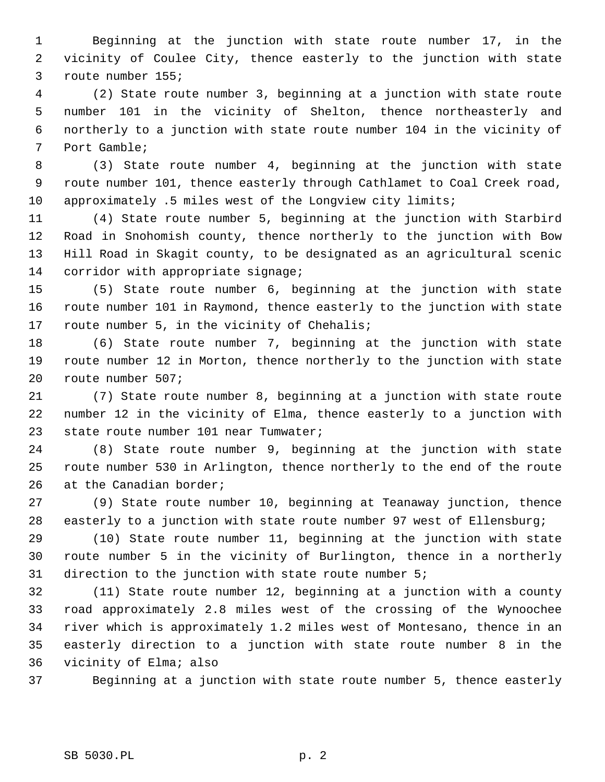1 Beginning at the junction with state route number 17, in the 2 vicinity of Coulee City, thence easterly to the junction with state 3 route number 155;

 4 (2) State route number 3, beginning at a junction with state route 5 number 101 in the vicinity of Shelton, thence northeasterly and 6 northerly to a junction with state route number 104 in the vicinity of 7 Port Gamble;

 8 (3) State route number 4, beginning at the junction with state 9 route number 101, thence easterly through Cathlamet to Coal Creek road, 10 approximately .5 miles west of the Longview city limits;

11 (4) State route number 5, beginning at the junction with Starbird 12 Road in Snohomish county, thence northerly to the junction with Bow 13 Hill Road in Skagit county, to be designated as an agricultural scenic 14 corridor with appropriate signage;

15 (5) State route number 6, beginning at the junction with state 16 route number 101 in Raymond, thence easterly to the junction with state 17 route number 5, in the vicinity of Chehalis;

18 (6) State route number 7, beginning at the junction with state 19 route number 12 in Morton, thence northerly to the junction with state 20 route number 507;

21 (7) State route number 8, beginning at a junction with state route 22 number 12 in the vicinity of Elma, thence easterly to a junction with 23 state route number 101 near Tumwater;

24 (8) State route number 9, beginning at the junction with state 25 route number 530 in Arlington, thence northerly to the end of the route 26 at the Canadian border;

27 (9) State route number 10, beginning at Teanaway junction, thence 28 easterly to a junction with state route number 97 west of Ellensburg;

29 (10) State route number 11, beginning at the junction with state 30 route number 5 in the vicinity of Burlington, thence in a northerly 31 direction to the junction with state route number 5;

32 (11) State route number 12, beginning at a junction with a county 33 road approximately 2.8 miles west of the crossing of the Wynoochee 34 river which is approximately 1.2 miles west of Montesano, thence in an 35 easterly direction to a junction with state route number 8 in the 36 vicinity of Elma; also

37 Beginning at a junction with state route number 5, thence easterly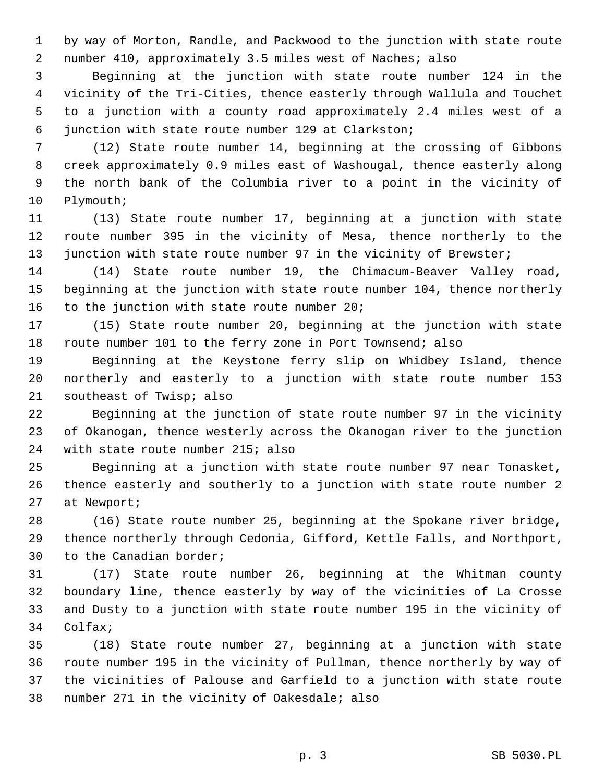1 by way of Morton, Randle, and Packwood to the junction with state route 2 number 410, approximately 3.5 miles west of Naches; also

 3 Beginning at the junction with state route number 124 in the 4 vicinity of the Tri-Cities, thence easterly through Wallula and Touchet 5 to a junction with a county road approximately 2.4 miles west of a 6 junction with state route number 129 at Clarkston;

 7 (12) State route number 14, beginning at the crossing of Gibbons 8 creek approximately 0.9 miles east of Washougal, thence easterly along 9 the north bank of the Columbia river to a point in the vicinity of 10 Plymouth;

11 (13) State route number 17, beginning at a junction with state 12 route number 395 in the vicinity of Mesa, thence northerly to the 13 junction with state route number 97 in the vicinity of Brewster;

14 (14) State route number 19, the Chimacum-Beaver Valley road, 15 beginning at the junction with state route number 104, thence northerly 16 to the junction with state route number 20;

17 (15) State route number 20, beginning at the junction with state 18 route number 101 to the ferry zone in Port Townsend; also

19 Beginning at the Keystone ferry slip on Whidbey Island, thence 20 northerly and easterly to a junction with state route number 153 21 southeast of Twisp; also

22 Beginning at the junction of state route number 97 in the vicinity 23 of Okanogan, thence westerly across the Okanogan river to the junction 24 with state route number 215; also

25 Beginning at a junction with state route number 97 near Tonasket, 26 thence easterly and southerly to a junction with state route number 2 27 at Newport;

28 (16) State route number 25, beginning at the Spokane river bridge, 29 thence northerly through Cedonia, Gifford, Kettle Falls, and Northport, 30 to the Canadian border;

31 (17) State route number 26, beginning at the Whitman county 32 boundary line, thence easterly by way of the vicinities of La Crosse 33 and Dusty to a junction with state route number 195 in the vicinity of 34 Colfax;

35 (18) State route number 27, beginning at a junction with state 36 route number 195 in the vicinity of Pullman, thence northerly by way of 37 the vicinities of Palouse and Garfield to a junction with state route 38 number 271 in the vicinity of Oakesdale; also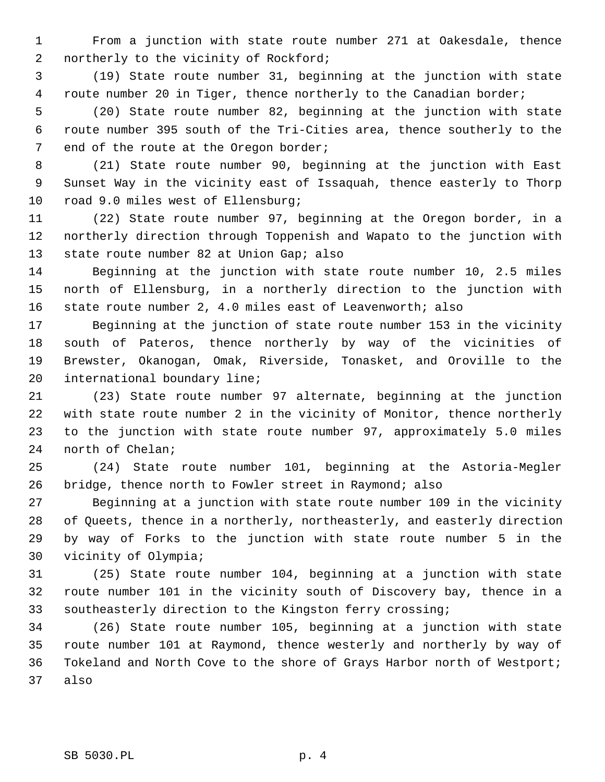1 From a junction with state route number 271 at Oakesdale, thence 2 northerly to the vicinity of Rockford;

 3 (19) State route number 31, beginning at the junction with state 4 route number 20 in Tiger, thence northerly to the Canadian border;

 5 (20) State route number 82, beginning at the junction with state 6 route number 395 south of the Tri-Cities area, thence southerly to the 7 end of the route at the Oregon border;

 8 (21) State route number 90, beginning at the junction with East 9 Sunset Way in the vicinity east of Issaquah, thence easterly to Thorp 10 road 9.0 miles west of Ellensburg;

11 (22) State route number 97, beginning at the Oregon border, in a 12 northerly direction through Toppenish and Wapato to the junction with 13 state route number 82 at Union Gap; also

14 Beginning at the junction with state route number 10, 2.5 miles 15 north of Ellensburg, in a northerly direction to the junction with 16 state route number 2, 4.0 miles east of Leavenworth; also

17 Beginning at the junction of state route number 153 in the vicinity 18 south of Pateros, thence northerly by way of the vicinities of 19 Brewster, Okanogan, Omak, Riverside, Tonasket, and Oroville to the 20 international boundary line;

21 (23) State route number 97 alternate, beginning at the junction 22 with state route number 2 in the vicinity of Monitor, thence northerly 23 to the junction with state route number 97, approximately 5.0 miles 24 north of Chelan;

25 (24) State route number 101, beginning at the Astoria-Megler 26 bridge, thence north to Fowler street in Raymond; also

27 Beginning at a junction with state route number 109 in the vicinity 28 of Queets, thence in a northerly, northeasterly, and easterly direction 29 by way of Forks to the junction with state route number 5 in the 30 vicinity of Olympia;

31 (25) State route number 104, beginning at a junction with state 32 route number 101 in the vicinity south of Discovery bay, thence in a 33 southeasterly direction to the Kingston ferry crossing;

34 (26) State route number 105, beginning at a junction with state 35 route number 101 at Raymond, thence westerly and northerly by way of 36 Tokeland and North Cove to the shore of Grays Harbor north of Westport; 37 also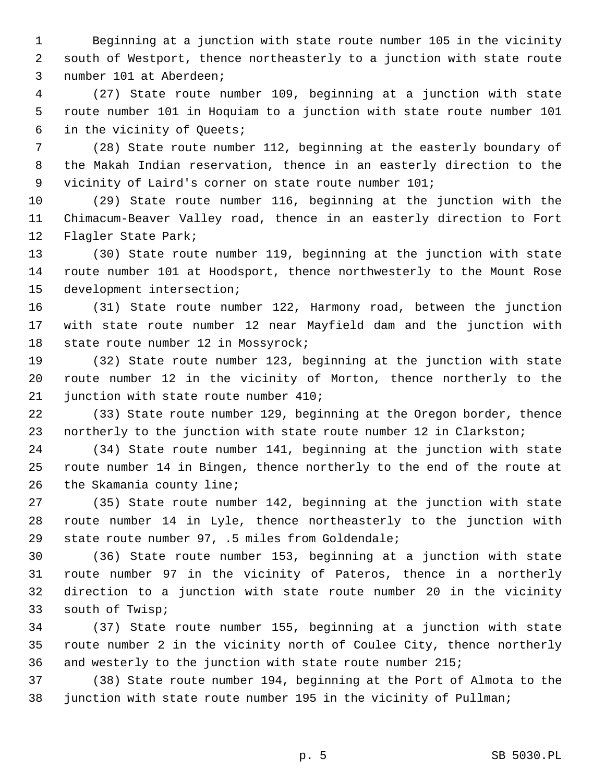1 Beginning at a junction with state route number 105 in the vicinity 2 south of Westport, thence northeasterly to a junction with state route 3 number 101 at Aberdeen;

 4 (27) State route number 109, beginning at a junction with state 5 route number 101 in Hoquiam to a junction with state route number 101 6 in the vicinity of Queets;

 7 (28) State route number 112, beginning at the easterly boundary of 8 the Makah Indian reservation, thence in an easterly direction to the 9 vicinity of Laird's corner on state route number 101;

10 (29) State route number 116, beginning at the junction with the 11 Chimacum-Beaver Valley road, thence in an easterly direction to Fort 12 Flagler State Park;

13 (30) State route number 119, beginning at the junction with state 14 route number 101 at Hoodsport, thence northwesterly to the Mount Rose 15 development intersection;

16 (31) State route number 122, Harmony road, between the junction 17 with state route number 12 near Mayfield dam and the junction with 18 state route number 12 in Mossyrock;

19 (32) State route number 123, beginning at the junction with state 20 route number 12 in the vicinity of Morton, thence northerly to the 21 junction with state route number 410;

22 (33) State route number 129, beginning at the Oregon border, thence 23 northerly to the junction with state route number 12 in Clarkston;

24 (34) State route number 141, beginning at the junction with state 25 route number 14 in Bingen, thence northerly to the end of the route at 26 the Skamania county line;

27 (35) State route number 142, beginning at the junction with state 28 route number 14 in Lyle, thence northeasterly to the junction with 29 state route number 97, .5 miles from Goldendale;

30 (36) State route number 153, beginning at a junction with state 31 route number 97 in the vicinity of Pateros, thence in a northerly 32 direction to a junction with state route number 20 in the vicinity 33 south of Twisp;

34 (37) State route number 155, beginning at a junction with state 35 route number 2 in the vicinity north of Coulee City, thence northerly 36 and westerly to the junction with state route number 215;

37 (38) State route number 194, beginning at the Port of Almota to the 38 junction with state route number 195 in the vicinity of Pullman;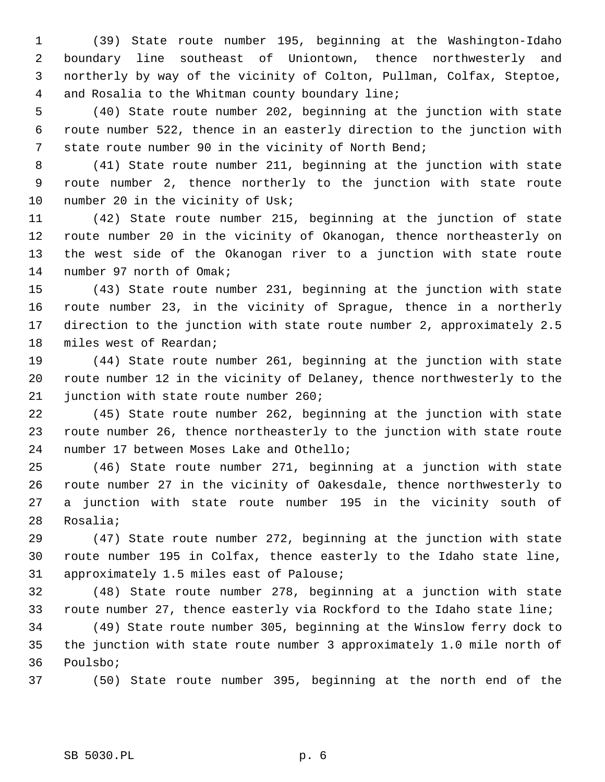1 (39) State route number 195, beginning at the Washington-Idaho 2 boundary line southeast of Uniontown, thence northwesterly and 3 northerly by way of the vicinity of Colton, Pullman, Colfax, Steptoe, 4 and Rosalia to the Whitman county boundary line;

 5 (40) State route number 202, beginning at the junction with state 6 route number 522, thence in an easterly direction to the junction with 7 state route number 90 in the vicinity of North Bend;

 8 (41) State route number 211, beginning at the junction with state 9 route number 2, thence northerly to the junction with state route 10 number 20 in the vicinity of Usk;

11 (42) State route number 215, beginning at the junction of state 12 route number 20 in the vicinity of Okanogan, thence northeasterly on 13 the west side of the Okanogan river to a junction with state route 14 number 97 north of Omak;

15 (43) State route number 231, beginning at the junction with state 16 route number 23, in the vicinity of Sprague, thence in a northerly 17 direction to the junction with state route number 2, approximately 2.5 18 miles west of Reardan;

19 (44) State route number 261, beginning at the junction with state 20 route number 12 in the vicinity of Delaney, thence northwesterly to the 21 junction with state route number 260;

22 (45) State route number 262, beginning at the junction with state 23 route number 26, thence northeasterly to the junction with state route 24 number 17 between Moses Lake and Othello;

25 (46) State route number 271, beginning at a junction with state 26 route number 27 in the vicinity of Oakesdale, thence northwesterly to 27 a junction with state route number 195 in the vicinity south of 28 Rosalia;

29 (47) State route number 272, beginning at the junction with state 30 route number 195 in Colfax, thence easterly to the Idaho state line, 31 approximately 1.5 miles east of Palouse;

32 (48) State route number 278, beginning at a junction with state 33 route number 27, thence easterly via Rockford to the Idaho state line;

34 (49) State route number 305, beginning at the Winslow ferry dock to 35 the junction with state route number 3 approximately 1.0 mile north of 36 Poulsbo;

37 (50) State route number 395, beginning at the north end of the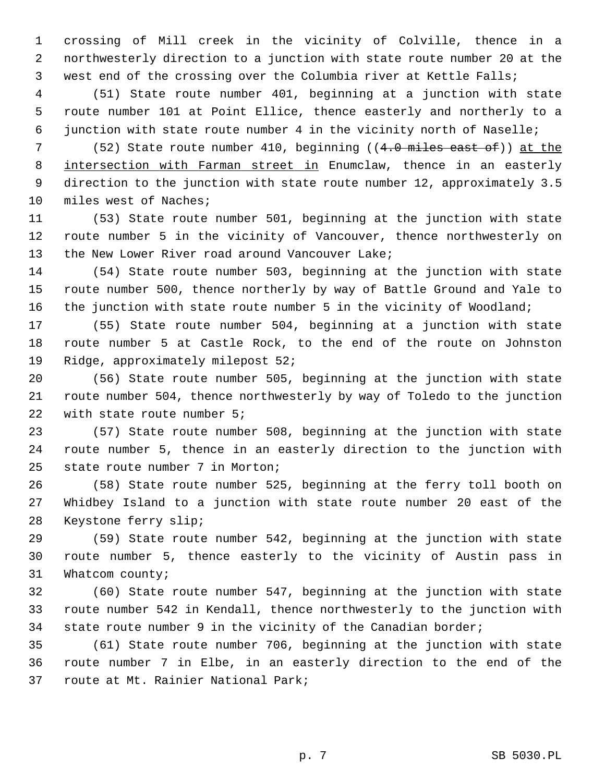1 crossing of Mill creek in the vicinity of Colville, thence in a 2 northwesterly direction to a junction with state route number 20 at the 3 west end of the crossing over the Columbia river at Kettle Falls;

 4 (51) State route number 401, beginning at a junction with state 5 route number 101 at Point Ellice, thence easterly and northerly to a 6 junction with state route number 4 in the vicinity north of Naselle;

7 (52) State route number 410, beginning  $((4.0 \text{ miles east of}))$  at the 8 intersection with Farman street in Enumclaw, thence in an easterly 9 direction to the junction with state route number 12, approximately 3.5 10 miles west of Naches;

11 (53) State route number 501, beginning at the junction with state 12 route number 5 in the vicinity of Vancouver, thence northwesterly on 13 the New Lower River road around Vancouver Lake;

14 (54) State route number 503, beginning at the junction with state 15 route number 500, thence northerly by way of Battle Ground and Yale to 16 the junction with state route number 5 in the vicinity of Woodland;

17 (55) State route number 504, beginning at a junction with state 18 route number 5 at Castle Rock, to the end of the route on Johnston 19 Ridge, approximately milepost 52;

20 (56) State route number 505, beginning at the junction with state 21 route number 504, thence northwesterly by way of Toledo to the junction 22 with state route number 5;

23 (57) State route number 508, beginning at the junction with state 24 route number 5, thence in an easterly direction to the junction with 25 state route number 7 in Morton;

26 (58) State route number 525, beginning at the ferry toll booth on 27 Whidbey Island to a junction with state route number 20 east of the 28 Keystone ferry slip;

29 (59) State route number 542, beginning at the junction with state 30 route number 5, thence easterly to the vicinity of Austin pass in 31 Whatcom county;

32 (60) State route number 547, beginning at the junction with state 33 route number 542 in Kendall, thence northwesterly to the junction with 34 state route number 9 in the vicinity of the Canadian border;

35 (61) State route number 706, beginning at the junction with state 36 route number 7 in Elbe, in an easterly direction to the end of the 37 route at Mt. Rainier National Park;